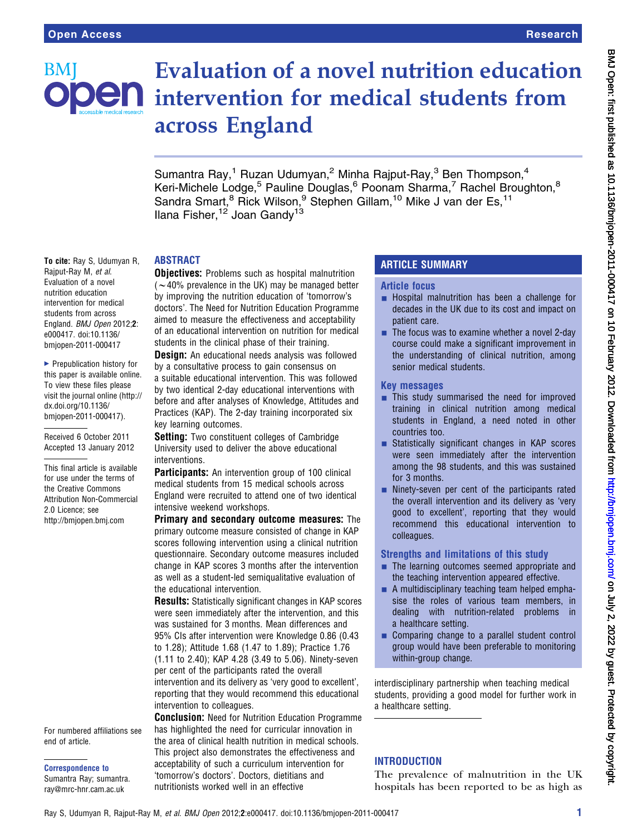

# Evaluation of a novel nutrition education  $en$  intervention for medical students from across England

Sumantra Ray,<sup>1</sup> Ruzan Udumyan,<sup>2</sup> Minha Rajput-Ray,<sup>3</sup> Ben Thompson,<sup>4</sup> Keri-Michele Lodge,<sup>5</sup> Pauline Douglas,<sup>6</sup> Poonam Sharma,<sup>7</sup> Rachel Broughton,<sup>8</sup> Sandra Smart,<sup>8</sup> Rick Wilson,<sup>9</sup> Stephen Gillam,<sup>10</sup> Mike J van der Es,<sup>11</sup> Ilana Fisher,<sup>12</sup> Joan Gandy<sup>13</sup>

#### To cite: Ray S, Udumyan R, Rajput-Ray M, et al. Evaluation of a novel nutrition education intervention for medical students from across England. BMJ Open 2012;2: e000417. doi:10.1136/ bmjopen-2011-000417

**Prepublication history for** this paper is available online. To view these files please visit the journal online (http:// dx.doi.org/10.1136/ bmjopen-2011-000417).

Received 6 October 2011 Accepted 13 January 2012

This final article is available for use under the terms of the Creative Commons Attribution Non-Commercial 2.0 Licence; see http://bmjopen.bmj.com

#### For numbered affiliations see end of article.

Correspondence to

Sumantra Ray; sumantra. ray@mrc-hnr.cam.ac.uk

# ABSTRACT

**Objectives:** Problems such as hospital malnutrition  $(-40%$  prevalence in the UK) may be managed better by improving the nutrition education of 'tomorrow's doctors'. The Need for Nutrition Education Programme aimed to measure the effectiveness and acceptability of an educational intervention on nutrition for medical students in the clinical phase of their training.

**Design:** An educational needs analysis was followed by a consultative process to gain consensus on a suitable educational intervention. This was followed by two identical 2-day educational interventions with before and after analyses of Knowledge, Attitudes and Practices (KAP). The 2-day training incorporated six key learning outcomes.

**Setting:** Two constituent colleges of Cambridge University used to deliver the above educational interventions.

Participants: An intervention group of 100 clinical medical students from 15 medical schools across England were recruited to attend one of two identical intensive weekend workshops.

Primary and secondary outcome measures: The primary outcome measure consisted of change in KAP scores following intervention using a clinical nutrition questionnaire. Secondary outcome measures included change in KAP scores 3 months after the intervention as well as a student-led semiqualitative evaluation of the educational intervention.

Results: Statistically significant changes in KAP scores were seen immediately after the intervention, and this was sustained for 3 months. Mean differences and 95% CIs after intervention were Knowledge 0.86 (0.43 to 1.28); Attitude 1.68 (1.47 to 1.89); Practice 1.76 (1.11 to 2.40); KAP 4.28 (3.49 to 5.06). Ninety-seven per cent of the participants rated the overall intervention and its delivery as 'very good to excellent', reporting that they would recommend this educational intervention to colleagues.

**Conclusion:** Need for Nutrition Education Programme has highlighted the need for curricular innovation in the area of clinical health nutrition in medical schools. This project also demonstrates the effectiveness and acceptability of such a curriculum intervention for 'tomorrow's doctors'. Doctors, dietitians and nutritionists worked well in an effective

# ARTICLE SUMMARY

#### Article focus

- $\blacksquare$  Hospital malnutrition has been a challenge for decades in the UK due to its cost and impact on patient care.
- $\blacksquare$  The focus was to examine whether a novel 2-day course could make a significant improvement in the understanding of clinical nutrition, among senior medical students.

#### Key messages

- **This study summarised the need for improved** training in clinical nutrition among medical students in England, a need noted in other countries too.
- Statistically significant changes in KAP scores were seen immediately after the intervention among the 98 students, and this was sustained for 3 months.
- $\blacksquare$  Ninety-seven per cent of the participants rated the overall intervention and its delivery as 'very good to excellent', reporting that they would recommend this educational intervention to colleagues.

# Strengths and limitations of this study

- $\blacksquare$  The learning outcomes seemed appropriate and the teaching intervention appeared effective.
- A multidisciplinary teaching team helped emphasise the roles of various team members, in dealing with nutrition-related problems in a healthcare setting.
- $\blacksquare$  Comparing change to a parallel student control group would have been preferable to monitoring within-group change.

interdisciplinary partnership when teaching medical students, providing a good model for further work in a healthcare setting.

# **INTRODUCTION**

The prevalence of malnutrition in the UK hospitals has been reported to be as high as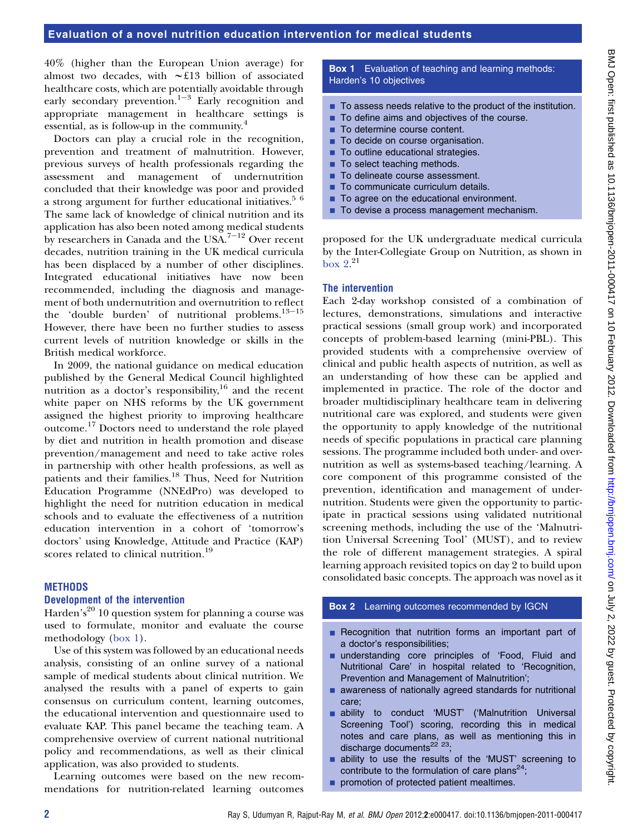40% (higher than the European Union average) for almost two decades, with  $\sim$ £13 billion of associated healthcare costs, which are potentially avoidable through early secondary prevention.<sup>1-3</sup> Early recognition and appropriate management in healthcare settings is essential, as is follow-up in the community.<sup>4</sup>

Doctors can play a crucial role in the recognition, prevention and treatment of malnutrition. However, previous surveys of health professionals regarding the assessment and management of undernutrition concluded that their knowledge was poor and provided a strong argument for further educational initiatives.<sup>5 6</sup> The same lack of knowledge of clinical nutrition and its application has also been noted among medical students by researchers in Canada and the USA.<sup>7-12</sup> Over recent decades, nutrition training in the UK medical curricula has been displaced by a number of other disciplines. Integrated educational initiatives have now been recommended, including the diagnosis and management of both undernutrition and overnutrition to reflect the 'double burden' of nutritional problems. $13-15$ However, there have been no further studies to assess current levels of nutrition knowledge or skills in the British medical workforce.

In 2009, the national guidance on medical education published by the General Medical Council highlighted nutrition as a doctor's responsibility, $16$  and the recent white paper on NHS reforms by the UK government assigned the highest priority to improving healthcare outcome.<sup>17</sup> Doctors need to understand the role played by diet and nutrition in health promotion and disease prevention/management and need to take active roles in partnership with other health professions, as well as patients and their families.<sup>18</sup> Thus, Need for Nutrition Education Programme (NNEdPro) was developed to highlight the need for nutrition education in medical schools and to evaluate the effectiveness of a nutrition education intervention in a cohort of 'tomorrow's doctors' using Knowledge, Attitude and Practice (KAP) scores related to clinical nutrition.<sup>19</sup>

#### **METHODS**

#### Development of the intervention

Harden's<sup>20</sup> 10 question system for planning a course was used to formulate, monitor and evaluate the course methodology (box 1).

Use of this system was followed by an educational needs analysis, consisting of an online survey of a national sample of medical students about clinical nutrition. We analysed the results with a panel of experts to gain consensus on curriculum content, learning outcomes, the educational intervention and questionnaire used to evaluate KAP. This panel became the teaching team. A comprehensive overview of current national nutritional policy and recommendations, as well as their clinical application, was also provided to students.

Learning outcomes were based on the new recommendations for nutrition-related learning outcomes

#### Box 1 Evaluation of teaching and learning methods: Harden's 10 objectives

- $\blacksquare$  To assess needs relative to the product of the institution.
- $\blacksquare$  To define aims and objectives of the course.
- $\blacksquare$  To determine course content.
- $\blacksquare$  To decide on course organisation.
- $\blacksquare$  To outline educational strategies.
- To select teaching methods.
- To delineate course assessment.
- To communicate curriculum details.
- To agree on the educational environment.
- To devise a process management mechanism.

proposed for the UK undergraduate medical curricula by the Inter-Collegiate Group on Nutrition, as shown in box 2. 21

#### The intervention

Each 2-day workshop consisted of a combination of lectures, demonstrations, simulations and interactive practical sessions (small group work) and incorporated concepts of problem-based learning (mini-PBL). This provided students with a comprehensive overview of clinical and public health aspects of nutrition, as well as an understanding of how these can be applied and implemented in practice. The role of the doctor and broader multidisciplinary healthcare team in delivering nutritional care was explored, and students were given the opportunity to apply knowledge of the nutritional needs of specific populations in practical care planning sessions. The programme included both under- and overnutrition as well as systems-based teaching/learning. A core component of this programme consisted of the prevention, identification and management of undernutrition. Students were given the opportunity to participate in practical sessions using validated nutritional screening methods, including the use of the 'Malnutrition Universal Screening Tool' (MUST), and to review the role of different management strategies. A spiral learning approach revisited topics on day 2 to build upon consolidated basic concepts. The approach was novel as it

#### **Box 2** Learning outcomes recommended by IGCN

- **-** Recognition that nutrition forms an important part of a doctor's responsibilities;
- understanding core principles of 'Food, Fluid and Nutritional Care' in hospital related to 'Recognition, Prevention and Management of Malnutrition';
- awareness of nationally agreed standards for nutritional care;
- ability to conduct 'MUST' ('Malnutrition Universal Screening Tool') scoring, recording this in medical notes and care plans, as well as mentioning this in discharge documents $^{22}$   $^{23}$ ;
- ability to use the results of the 'MUST' screening to contribute to the formulation of care plans<sup>24</sup>;
- promotion of protected patient mealtimes.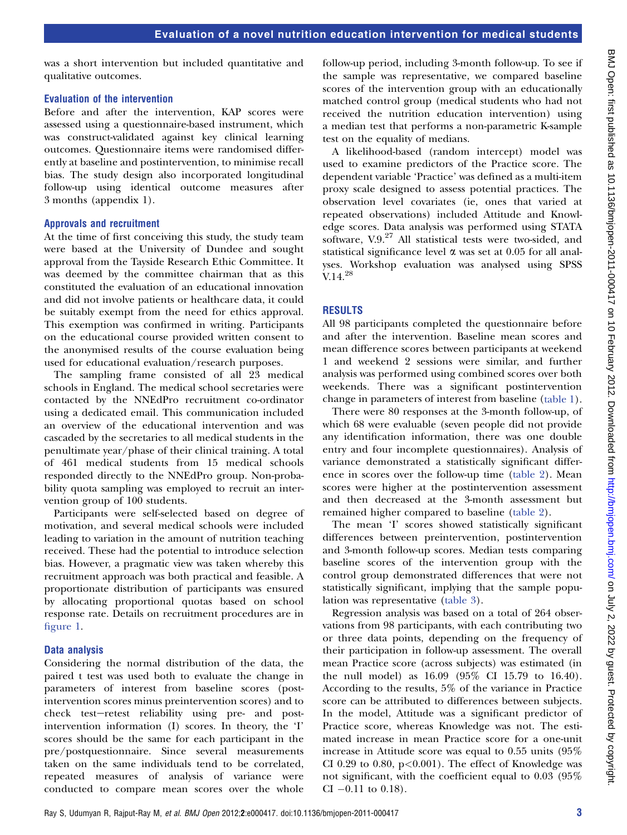was a short intervention but included quantitative and qualitative outcomes.

#### Evaluation of the intervention

Before and after the intervention, KAP scores were assessed using a questionnaire-based instrument, which was construct-validated against key clinical learning outcomes. Questionnaire items were randomised differently at baseline and postintervention, to minimise recall bias. The study design also incorporated longitudinal follow-up using identical outcome measures after 3 months (appendix 1).

#### Approvals and recruitment

At the time of first conceiving this study, the study team were based at the University of Dundee and sought approval from the Tayside Research Ethic Committee. It was deemed by the committee chairman that as this constituted the evaluation of an educational innovation and did not involve patients or healthcare data, it could be suitably exempt from the need for ethics approval. This exemption was confirmed in writing. Participants on the educational course provided written consent to the anonymised results of the course evaluation being used for educational evaluation/research purposes.

The sampling frame consisted of all 23 medical schools in England. The medical school secretaries were contacted by the NNEdPro recruitment co-ordinator using a dedicated email. This communication included an overview of the educational intervention and was cascaded by the secretaries to all medical students in the penultimate year/phase of their clinical training. A total of 461 medical students from 15 medical schools responded directly to the NNEdPro group. Non-probability quota sampling was employed to recruit an intervention group of 100 students.

Participants were self-selected based on degree of motivation, and several medical schools were included leading to variation in the amount of nutrition teaching received. These had the potential to introduce selection bias. However, a pragmatic view was taken whereby this recruitment approach was both practical and feasible. A proportionate distribution of participants was ensured by allocating proportional quotas based on school response rate. Details on recruitment procedures are in figure 1.

#### Data analysis

Considering the normal distribution of the data, the paired t test was used both to evaluate the change in parameters of interest from baseline scores (postintervention scores minus preintervention scores) and to check test-retest reliability using pre- and postintervention information (I) scores. In theory, the 'I' scores should be the same for each participant in the pre/postquestionnaire. Since several measurements taken on the same individuals tend to be correlated, repeated measures of analysis of variance were conducted to compare mean scores over the whole

follow-up period, including 3-month follow-up. To see if the sample was representative, we compared baseline scores of the intervention group with an educationally matched control group (medical students who had not received the nutrition education intervention) using a median test that performs a non-parametric K-sample test on the equality of medians.

A likelihood-based (random intercept) model was used to examine predictors of the Practice score. The dependent variable 'Practice' was defined as a multi-item proxy scale designed to assess potential practices. The observation level covariates (ie, ones that varied at repeated observations) included Attitude and Knowledge scores. Data analysis was performed using STATA software, V.9.<sup>27</sup> All statistical tests were two-sided, and statistical significance level  $\alpha$  was set at 0.05 for all analyses. Workshop evaluation was analysed using SPSS V.14.28

#### RESULTS

All 98 participants completed the questionnaire before and after the intervention. Baseline mean scores and mean difference scores between participants at weekend 1 and weekend 2 sessions were similar, and further analysis was performed using combined scores over both weekends. There was a significant postintervention change in parameters of interest from baseline (table 1).

There were 80 responses at the 3-month follow-up, of which 68 were evaluable (seven people did not provide any identification information, there was one double entry and four incomplete questionnaires). Analysis of variance demonstrated a statistically significant difference in scores over the follow-up time (table 2). Mean scores were higher at the postintervention assessment and then decreased at the 3-month assessment but remained higher compared to baseline (table 2).

The mean 'I' scores showed statistically significant differences between preintervention, postintervention and 3-month follow-up scores. Median tests comparing baseline scores of the intervention group with the control group demonstrated differences that were not statistically significant, implying that the sample population was representative (table 3).

Regression analysis was based on a total of 264 observations from 98 participants, with each contributing two or three data points, depending on the frequency of their participation in follow-up assessment. The overall mean Practice score (across subjects) was estimated (in the null model) as 16.09 (95% CI 15.79 to 16.40). According to the results, 5% of the variance in Practice score can be attributed to differences between subjects. In the model, Attitude was a significant predictor of Practice score, whereas Knowledge was not. The estimated increase in mean Practice score for a one-unit increase in Attitude score was equal to 0.55 units (95% CI 0.29 to 0.80,  $p<0.001$ ). The effect of Knowledge was not significant, with the coefficient equal to 0.03 (95%  $CI -0.11$  to 0.18).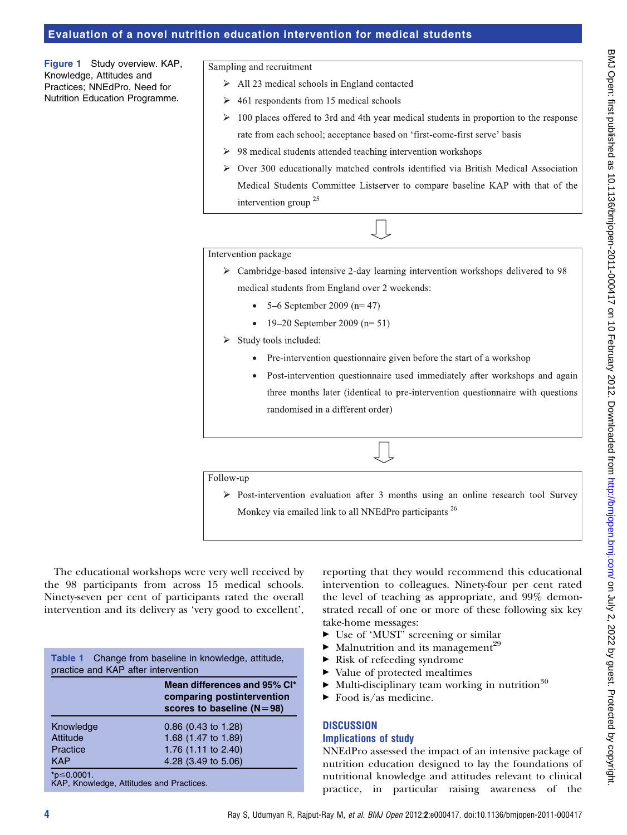Figure 1 Study overview. KAP, Knowledge, Attitudes and Practices; NNEdPro, Need for Nutrition Education Programme.

Sampling and recruitment

- $\triangleright$  All 23 medical schools in England contacted
- 461 respondents from 15 medical schools  $\blacktriangleright$
- $\geq 100$  places offered to 3rd and 4th year medical students in proportion to the response rate from each school; acceptance based on 'first-come-first serve' basis
- $\triangleright$  98 medical students attended teaching intervention workshops
- > Over 300 educationally matched controls identified via British Medical Association Medical Students Committee Listserver to compare baseline KAP with that of the intervention group  $^{25}$

Intervention package

- > Cambridge-based intensive 2-day learning intervention workshops delivered to 98 medical students from England over 2 weekends:
	- $5-6$  September 2009 (n= 47)
	- 19–20 September 2009 (n= 51)
- $\triangleright$  Study tools included:
	- Pre-intervention questionnaire given before the start of a workshop
	- Post-intervention questionnaire used immediately after workshops and again three months later (identical to pre-intervention questionnaire with questions randomised in a different order)

Follow-up

 $\triangleright$  Post-intervention evaluation after 3 months using an online research tool Survey Monkey via emailed link to all NNEdPro participants <sup>26</sup>

The educational workshops were very well received by the 98 participants from across 15 medical schools. Ninety-seven per cent of participants rated the overall intervention and its delivery as 'very good to excellent',

| <b>Table 1</b> Change from baseline in knowledge, attitude,<br>practice and KAP after intervention |                                                                                               |  |  |  |
|----------------------------------------------------------------------------------------------------|-----------------------------------------------------------------------------------------------|--|--|--|
|                                                                                                    | Mean differences and 95% CI*<br>comparing postintervention<br>scores to baseline ( $N = 98$ ) |  |  |  |
| Knowledge                                                                                          | $0.86$ (0.43 to 1.28)                                                                         |  |  |  |
| Attitude                                                                                           | 1.68 (1.47 to 1.89)                                                                           |  |  |  |
| Practice                                                                                           | 1.76 (1.11 to 2.40)                                                                           |  |  |  |
| KAP                                                                                                | 4.28 (3.49 to 5.06)                                                                           |  |  |  |
| *p≤0.0001.<br>KAP, Knowledge, Attitudes and Practices.                                             |                                                                                               |  |  |  |

reporting that they would recommend this educational intervention to colleagues. Ninety-four per cent rated the level of teaching as appropriate, and 99% demonstrated recall of one or more of these following six key take-home messages:

- < Use of 'MUST' screening or similar
- $\blacktriangleright$  Malnutrition and its management<sup>29</sup>
- < Risk of refeeding syndrome
- < Value of protected mealtimes
- Multi-disciplinary team working in nutrition $30$
- < Food is/as medicine.

# **DISCUSSION** Implications of study

NNEdPro assessed the impact of an intensive package of nutrition education designed to lay the foundations of nutritional knowledge and attitudes relevant to clinical practice, in particular raising awareness of the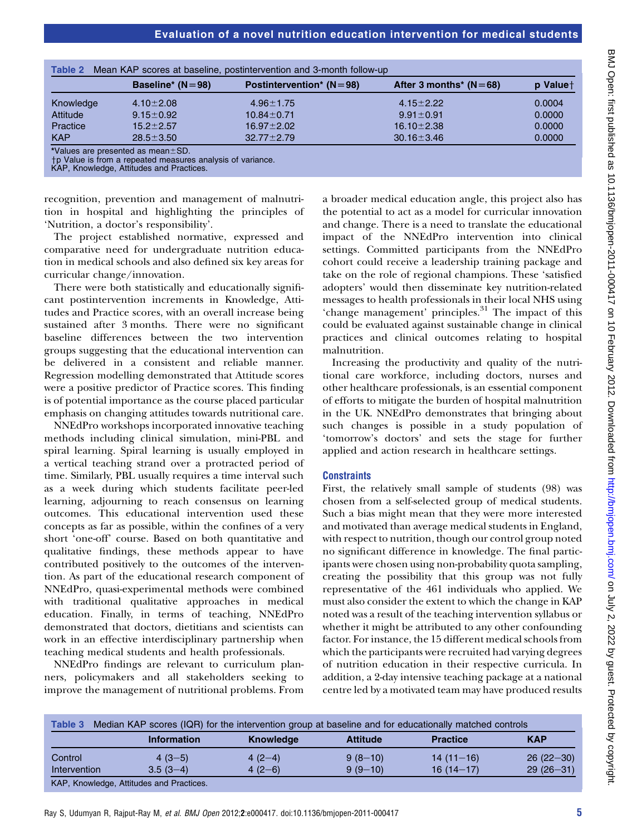| Mean KAP scores at baseline, postintervention and 3-month follow-up<br>Table 2 |                      |                                |                          |          |  |
|--------------------------------------------------------------------------------|----------------------|--------------------------------|--------------------------|----------|--|
|                                                                                | Baseline* ( $N=98$ ) | Postintervention* ( $N = 98$ ) | After 3 months* $(N=68)$ | p Valuet |  |
| Knowledge                                                                      | $4.10 \pm 2.08$      | $4.96 \pm 1.75$                | $4.15 \pm 2.22$          | 0.0004   |  |
| <b>Attitude</b>                                                                | $9.15 \pm 0.92$      | $10.84 \pm 0.71$               | $9.91 \pm 0.91$          | 0.0000   |  |
| Practice                                                                       | $15.2 + 2.57$        | $16.97 \pm 2.02$               | $16.10 \pm 2.38$         | 0.0000   |  |
| <b>KAP</b>                                                                     | $28.5 \pm 3.50$      | $32.77 \pm 2.79$               | $30.16 \pm 3.46$         | 0.0000   |  |
| *Values are presented as mean ± SD.                                            |                      |                                |                          |          |  |

yp Value is from a repeated measures analysis of variance.

KAP, Knowledge, Attitudes and Practices.

recognition, prevention and management of malnutrition in hospital and highlighting the principles of 'Nutrition, a doctor's responsibility'.

The project established normative, expressed and comparative need for undergraduate nutrition education in medical schools and also defined six key areas for curricular change/innovation.

There were both statistically and educationally significant postintervention increments in Knowledge, Attitudes and Practice scores, with an overall increase being sustained after 3 months. There were no significant baseline differences between the two intervention groups suggesting that the educational intervention can be delivered in a consistent and reliable manner. Regression modelling demonstrated that Attitude scores were a positive predictor of Practice scores. This finding is of potential importance as the course placed particular emphasis on changing attitudes towards nutritional care.

NNEdPro workshops incorporated innovative teaching methods including clinical simulation, mini-PBL and spiral learning. Spiral learning is usually employed in a vertical teaching strand over a protracted period of time. Similarly, PBL usually requires a time interval such as a week during which students facilitate peer-led learning, adjourning to reach consensus on learning outcomes. This educational intervention used these concepts as far as possible, within the confines of a very short 'one-off' course. Based on both quantitative and qualitative findings, these methods appear to have contributed positively to the outcomes of the intervention. As part of the educational research component of NNEdPro, quasi-experimental methods were combined with traditional qualitative approaches in medical education. Finally, in terms of teaching, NNEdPro demonstrated that doctors, dietitians and scientists can work in an effective interdisciplinary partnership when teaching medical students and health professionals.

NNEdPro findings are relevant to curriculum planners, policymakers and all stakeholders seeking to improve the management of nutritional problems. From

a broader medical education angle, this project also has the potential to act as a model for curricular innovation and change. There is a need to translate the educational impact of the NNEdPro intervention into clinical settings. Committed participants from the NNEdPro cohort could receive a leadership training package and take on the role of regional champions. These 'satisfied adopters' would then disseminate key nutrition-related messages to health professionals in their local NHS using 'change management' principles.<sup>31</sup> The impact of this could be evaluated against sustainable change in clinical practices and clinical outcomes relating to hospital malnutrition.

Increasing the productivity and quality of the nutritional care workforce, including doctors, nurses and other healthcare professionals, is an essential component of efforts to mitigate the burden of hospital malnutrition in the UK. NNEdPro demonstrates that bringing about such changes is possible in a study population of 'tomorrow's doctors' and sets the stage for further applied and action research in healthcare settings.

#### **Constraints**

First, the relatively small sample of students (98) was chosen from a self-selected group of medical students. Such a bias might mean that they were more interested and motivated than average medical students in England, with respect to nutrition, though our control group noted no significant difference in knowledge. The final participants were chosen using non-probability quota sampling, creating the possibility that this group was not fully representative of the 461 individuals who applied. We must also consider the extent to which the change in KAP noted was a result of the teaching intervention syllabus or whether it might be attributed to any other confounding factor. For instance, the 15 different medical schools from which the participants were recruited had varying degrees of nutrition education in their respective curricula. In addition, a 2-day intensive teaching package at a national centre led by a motivated team may have produced results

| Median KAP scores (IQR) for the intervention group at baseline and for educationally matched controls<br>Table 3 |                    |           |                 |                 |             |  |
|------------------------------------------------------------------------------------------------------------------|--------------------|-----------|-----------------|-----------------|-------------|--|
|                                                                                                                  | <b>Information</b> | Knowledge | <b>Attitude</b> | <b>Practice</b> | <b>KAP</b>  |  |
| Control                                                                                                          | $4(3-5)$           | $4(2-4)$  | $9(8-10)$       | $14(11-16)$     | $26(22-30)$ |  |
| Intervention                                                                                                     | $3.5(3-4)$         | $4(2-6)$  | $9(9-10)$       | $16(14-17)$     | $29(26-31)$ |  |
| KAP, Knowledge, Attitudes and Practices.                                                                         |                    |           |                 |                 |             |  |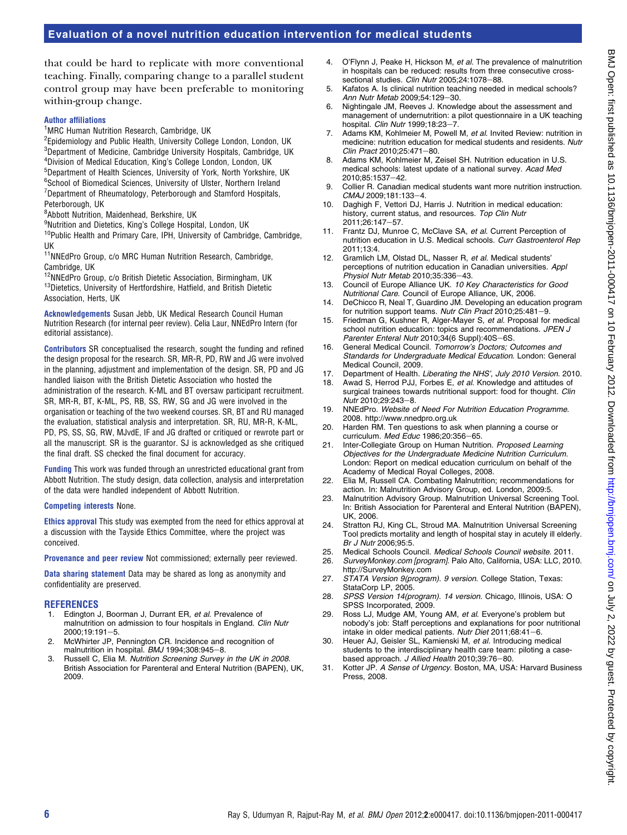BMJ Open: first published as 10.1136/bmjopen-2011-000417 on 10 February 2012. Downloaded from http://bmjopen.bmj.com/ on July 2, 2022 by guest. Protected by copyright BMJ Open: first published as 10.1136/bmjopen-2011-000417 on 10 February 2012. Downloaded from <http://bmjopen.bmj.com/> on July 2, 2022 by guest. Protected by copyright.

that could be hard to replicate with more conventional teaching. Finally, comparing change to a parallel student control group may have been preferable to monitoring within-group change.

#### Author affiliations

<sup>1</sup>MRC Human Nutrition Research, Cambridge, UK

 $^2$ Epidemiology and Public Health, University College London, London, UK  $^3$ Department of Medicine, Cambridge University Hospitals, Cambridge, UK 4 Division of Medical Education, King's College London, London, UK <sup>5</sup>Department of Health Sciences, University of York, North Yorkshire, UK <sup>6</sup>School of Biomedical Sciences, University of Ulster, Northern Ireland  $^7$ Department of Rheumatology, Peterborough and Stamford Hospitals, Peterborough, UK

8 Abbott Nutrition, Maidenhead, Berkshire, UK

- <sup>9</sup>Nutrition and Dietetics, King's College Hospital, London, UK
- <sup>10</sup>Public Health and Primary Care, IPH, University of Cambridge, Cambridge, UK

<sup>11</sup>NNEdPro Group, c/o MRC Human Nutrition Research, Cambridge, Cambridge, UK

<sup>12</sup>NNEdPro Group, c/o British Dietetic Association, Birmingham, UK <sup>13</sup>Dietetics, University of Hertfordshire, Hatfield, and British Dietetic Association, Herts, UK

Acknowledgements Susan Jebb, UK Medical Research Council Human Nutrition Research (for internal peer review). Celia Laur, NNEdPro Intern (for editorial assistance).

Contributors SR conceptualised the research, sought the funding and refined the design proposal for the research. SR, MR-R, PD, RW and JG were involved in the planning, adjustment and implementation of the design. SR, PD and JG handled liaison with the British Dietetic Association who hosted the administration of the research. K-ML and BT oversaw participant recruitment. SR, MR-R, BT, K-ML, PS, RB, SS, RW, SG and JG were involved in the organisation or teaching of the two weekend courses. SR, BT and RU managed the evaluation, statistical analysis and interpretation. SR, RU, MR-R, K-ML, PD, PS, SS, SG, RW, MJvdE, IF and JG drafted or critiqued or rewrote part or all the manuscript. SR is the guarantor. SJ is acknowledged as she critiqued the final draft. SS checked the final document for accuracy.

Funding This work was funded through an unrestricted educational grant from Abbott Nutrition. The study design, data collection, analysis and interpretation of the data were handled independent of Abbott Nutrition.

#### Competing interests None.

Ethics approval This study was exempted from the need for ethics approval at a discussion with the Tayside Ethics Committee, where the project was conceived.

Provenance and peer review Not commissioned; externally peer reviewed.

Data sharing statement Data may be shared as long as anonymity and confidentiality are preserved.

#### **REFERENCES**

- 1. Edington J, Boorman J, Durrant ER, et al. Prevalence of malnutrition on admission to four hospitals in England. Clin Nutr  $2000:19:191 - 5$ .
- 2. McWhirter JP, Pennington CR. Incidence and recognition of malnutrition in hospital.  $BMJ$  1994;308:945-8.
- 3. Russell C, Elia M. Nutrition Screening Survey in the UK in 2008. British Association for Parenteral and Enteral Nutrition (BAPEN), UK, 2009.
- 4. O'Flynn J, Peake H, Hickson M, et al. The prevalence of malnutrition in hospitals can be reduced: results from three consecutive crosssectional studies. Clin Nutr 2005;24:1078-88.
- 5. Kafatos A. Is clinical nutrition teaching needed in medical schools? Ann Nutr Metab 2009:54:129-30.
- 6. Nightingale JM, Reeves J. Knowledge about the assessment and management of undernutrition: a pilot questionnaire in a UK teaching hospital. Clin Nutr 1999;18:23-7.
- 7. Adams KM, Kohlmeier M, Powell M, et al. Invited Review: nutrition in medicine: nutrition education for medical students and residents. Nutr Clin Pract 2010:25:471-80.
- 8. Adams KM, Kohlmeier M, Zeisel SH. Nutrition education in U.S. medical schools: latest update of a national survey. Acad Med 2010;85:1537-42.
- 9. Collier R. Canadian medical students want more nutrition instruction. CMAJ 2009:181:133-4.
- 10. Daghigh F, Vettori DJ, Harris J. Nutrition in medical education: history, current status, and resources. Top Clin Nutr 2011;26:147-57.
- 11. Frantz DJ, Munroe C, McClave SA, et al. Current Perception of nutrition education in U.S. Medical schools. Curr Gastroenterol Rep 2011;13:4.
- 12. Gramlich LM, Olstad DL, Nasser R, et al. Medical students' perceptions of nutrition education in Canadian universities. Appl Physiol Nutr Metab 2010:35:336-43.
- 13. Council of Europe Alliance UK. 10 Key Characteristics for Good Nutritional Care. Council of Europe Alliance, UK, 2006.
- 14. DeChicco R, Neal T, Guardino JM. Developing an education program for nutrition support teams. Nutr Clin Pract  $2010;25:481-9$ .
- 15. Friedman G, Kushner R, Alger-Mayer S, et al. Proposal for medical school nutrition education: topics and recommendations. JPEN J Parenter Enteral Nutr 2010;34(6 Suppl):40S-6S
- 16. General Medical Council. Tomorrow's Doctors; Outcomes and Standards for Undergraduate Medical Education. London: General Medical Council, 2009.
- 17. Department of Health. Liberating the NHS', July 2010 Version. 2010.
- 18. Awad S, Herrod PJJ, Forbes E, et al. Knowledge and attitudes of surgical trainees towards nutritional support: food for thought. Clin Nutr 2010;29:243-8.
- 19. NNEdPro. Website of Need For Nutrition Education Programme. 2008. http://www.nnedpro.org.uk
- 20. Harden RM. Ten questions to ask when planning a course or curriculum. Med Educ 1986;20:356-65.
- 21. Inter-Collegiate Group on Human Nutrition. Proposed Learning Objectives for the Undergraduate Medicine Nutrition Curriculum. London: Report on medical education curriculum on behalf of the Academy of Medical Royal Colleges, 2008.
- 22. Elia M, Russell CA. Combating Malnutrition; recommendations for action. In: Malnutrition Advisory Group, ed. London, 2009:5.
- 23. Malnutrition Advisory Group. Malnutrition Universal Screening Tool. In: British Association for Parenteral and Enteral Nutrition (BAPEN), UK, 2006.
- 24. Stratton RJ, King CL, Stroud MA. Malnutrition Universal Screening Tool predicts mortality and length of hospital stay in acutely ill elderly. Br J Nutr 2006;95:5.
- 25. Medical Schools Council. Medical Schools Council website. 2011.<br>26. SurveyMonkey.com [program]. Palo Alto. California. USA: LLC. 201
- SurveyMonkey.com [program]. Palo Alto, California, USA: LLC, 2010. http://SurveyMonkey.com
- 27. STATA Version 9(program). 9 version. College Station, Texas: StataCorp LP, 2005.
- 28. SPSS Version 14(program). 14 version. Chicago, Illinois, USA: O SPSS Incorporated, 2009.
- 29. Ross LJ, Mudge AM, Young AM, et al. Everyone's problem but nobody's job: Staff perceptions and explanations for poor nutritional intake in older medical patients. Nutr Diet 2011;68:41-6.
- 30. Heuer AJ, Geisler SL, Kamienski M, et al. Introducing medical students to the interdisciplinary health care team: piloting a casebased approach. J Allied Health 2010;39:76-80.
- 31. Kotter JP. A Sense of Urgency. Boston, MA, USA: Harvard Business Press, 2008.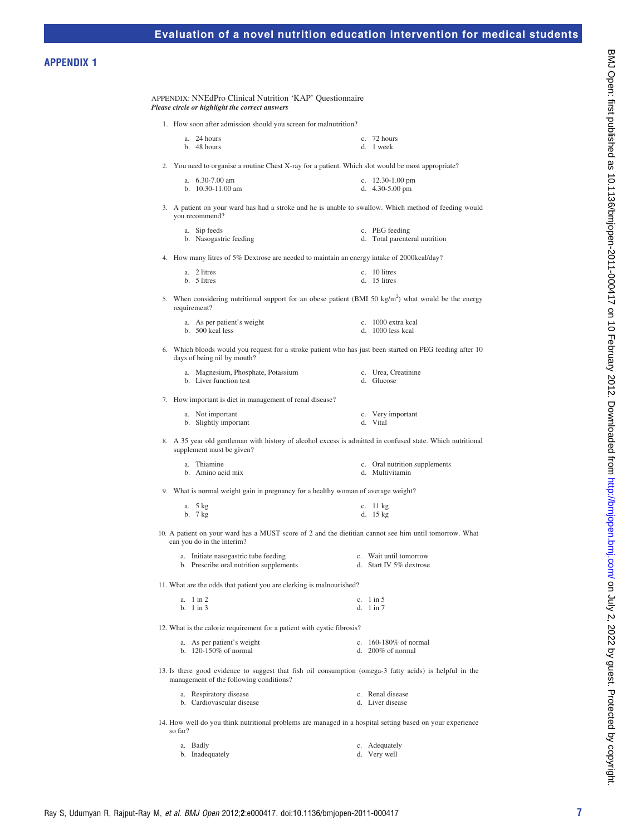#### APPENDIX 1

APPENDIX: NNEdPro Clinical Nutrition 'KAP' Questionnaire *Please circle or highlight the correct answers*  1. How soon after admission should you screen for malnutrition? a. 24 hours b. 48 hours c. 72 hours d. 1 week 2. You need to organise a routine Chest X-ray for a patient. Which slot would be most appropriate? a. 6.30-7.00 am b. 10.30-11.00 am c. 12.30-1.00 pm d. 4.30-5.00 pm 3. A patient on your ward has had a stroke and he is unable to swallow. Which method of feeding would you recommend? a. Sip feeds b. Nasogastric feeding c. PEG feeding d. Total parenteral nutrition 4. How many litres of 5% Dextrose are needed to maintain an energy intake of 2000kcal/day? a. 2 litres b. 5 litres c. 10 litres d. 15 litres 5. When considering nutritional support for an obese patient  $(BMI 50 kg/m<sup>2</sup>)$  what would be the energy requirement? a. As per patient's weight b. 500 kcal less c. 1000 extra kcal d. 1000 less kcal 6. Which bloods would you request for a stroke patient who has just been started on PEG feeding after 10 days of being nil by mouth? a. Magnesium, Phosphate, Potassium b. Liver function test c. Urea, Creatinine d. Glucose 7. How important is diet in management of renal disease? a. Not important b. Slightly important c. Very important d. Vital 8. A 35 year old gentleman with history of alcohol excess is admitted in confused state. Which nutritional supplement must be given? a. Thiamine b. Amino acid mix c. Oral nutrition supplements d. Multivitamin 9. What is normal weight gain in pregnancy for a healthy woman of average weight? a. 5 kg b. 7 kg c. 11 kg d. 15 kg 10. A patient on your ward has a MUST score of 2 and the dietitian cannot see him until tomorrow. What can you do in the interim? a. Initiate nasogastric tube feeding b. Prescribe oral nutrition supplements c. Wait until tomorrow d. Start IV 5% dextrose 11. What are the odds that patient you are clerking is malnourished? a. 1 in 2 b. 1 in 3 c. 1 in 5 d. 1 in 7 12. What is the calorie requirement for a patient with cystic fibrosis? a. As per patient's weight b. 120-150% of normal c. 160-180% of normal d. 200% of normal 13. Is there good evidence to suggest that fish oil consumption (omega-3 fatty acids) is helpful in the management of the following conditions? a. Respiratory disease b. Cardiovascular disease c. Renal disease d. Liver disease 14. How well do you think nutritional problems are managed in a hospital setting based on your experience so far? a. Badly c. Adequately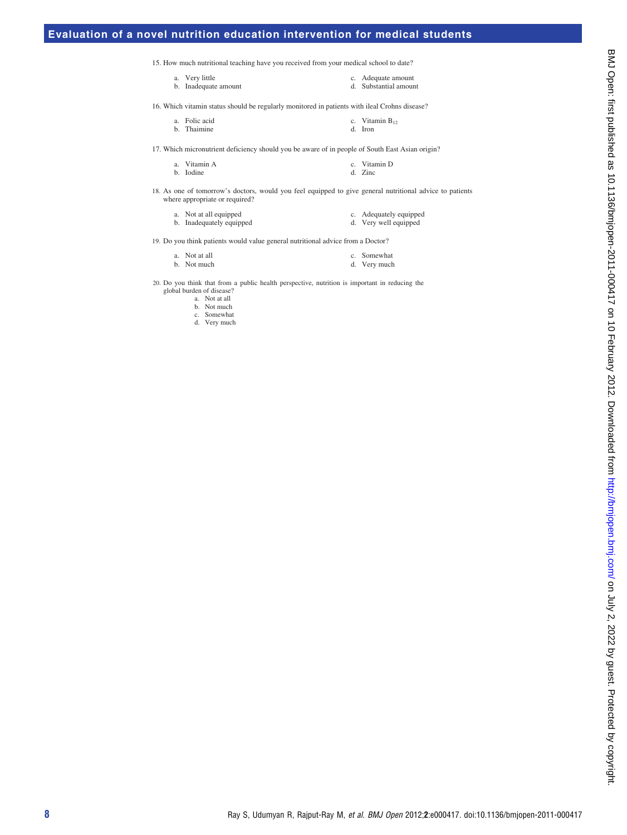## Evaluation of a novel nutrition education intervention for medical students

15. How much nutritional teaching have you received from your medical school to date?

- a. Very little b. Inadequate amount
- c. Adequate amount d. Substantial amount

16. Which vitamin status should be regularly monitored in patients with ileal Crohns disease?

- a. Folic acid
- b. Thaimine
- c. Vitamin B<sub>12</sub> d. Iron

17. Which micronutrient deficiency should you be aware of in people of South East Asian origin?

- a. Vitamin A b. Iodine c. Vitamin D d. Zinc
- 18. As one of tomorrow's doctors, would you feel equipped to give general nutritional advice to patients where appropriate or required?

| a. Not at all equipped   | c. Adequately equipped |
|--------------------------|------------------------|
| b. Inadequately equipped | d. Very well equipped  |

19. Do you think patients would value general nutritional advice from a Doctor?

- a. Not at all b. Not much c. Somewhat d. Very much
- 20. Do you think that from a public health perspective, nutrition is important in reducing the
	- global burden of disease? a. Not at all
		- b. Not much
		- c. Somewhat
		- d. Very much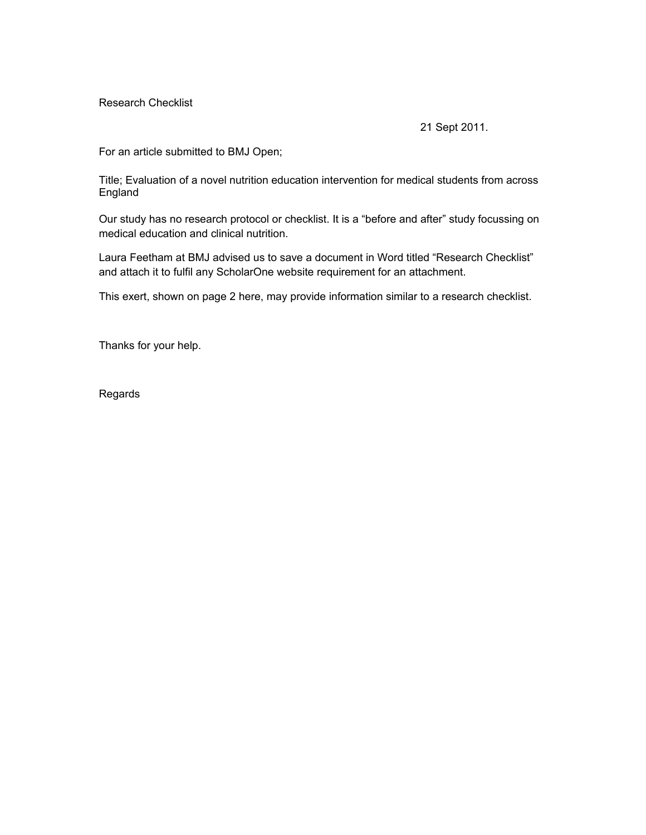Research Checklist

21 Sept 2011.

For an article submitted to BMJ Open;

Title; Evaluation of a novel nutrition education intervention for medical students from across England

Our study has no research protocol or checklist. It is a "before and after" study focussing on medical education and clinical nutrition.

Laura Feetham at BMJ advised us to save a document in Word titled "Research Checklist" and attach it to fulfil any ScholarOne website requirement for an attachment.

This exert, shown on page 2 here, may provide information similar to a research checklist.

Thanks for your help.

Regards